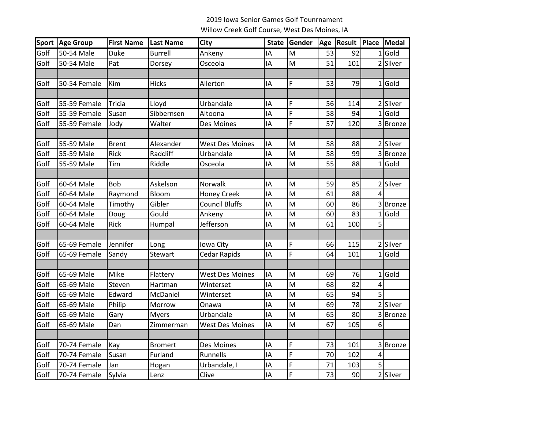## 2019 Iowa Senior Games Golf Tounrnament Willow Creek Golf Course, West Des Moines, IA

|      | Sport Age Group | <b>First Name</b> | <b>Last Name</b> | <b>City</b>            |    | State Gender                                                                                               |    | Age   Result   Place   Medal |   |               |
|------|-----------------|-------------------|------------------|------------------------|----|------------------------------------------------------------------------------------------------------------|----|------------------------------|---|---------------|
| Golf | 50-54 Male      | Duke              | <b>Burrell</b>   | Ankeny                 | IΑ | M                                                                                                          | 53 | 92                           |   | $1$ Gold      |
| Golf | 50-54 Male      | Pat               | Dorsey           | Osceola                | IA | M                                                                                                          | 51 | 101                          |   | 2 Silver      |
|      |                 |                   |                  |                        |    |                                                                                                            |    |                              |   |               |
| Golf | 50-54 Female    | Kim               | <b>Hicks</b>     | Allerton               | IA | F                                                                                                          | 53 | 79                           |   | $1$ Gold      |
|      |                 |                   |                  |                        |    |                                                                                                            |    |                              |   |               |
| Golf | 55-59 Female    | Tricia            | Lloyd            | Urbandale              | IA | F                                                                                                          | 56 | 114                          |   | 2 Silver      |
| Golf | 55-59 Female    | Susan             | Sibbernsen       | Altoona                | IA | F                                                                                                          | 58 | 94                           |   | $1$ Gold      |
| Golf | 55-59 Female    | Jody              | Walter           | Des Moines             | IA | F                                                                                                          | 57 | 120                          |   | 3 Bronze      |
|      |                 |                   |                  |                        |    |                                                                                                            |    |                              |   |               |
| Golf | 55-59 Male      | <b>Brent</b>      | Alexander        | <b>West Des Moines</b> | IA | M                                                                                                          | 58 | 88                           |   | 2 Silver      |
| Golf | 55-59 Male      | Rick              | Radcliff         | Urbandale              | ΙA | $\mathsf{M}% _{T}=\mathsf{M}_{T}\!\left( a,b\right) ,\ \mathsf{M}_{T}=\mathsf{M}_{T}\!\left( a,b\right) ,$ | 58 | 99                           | 3 | <b>Bronze</b> |
| Golf | 55-59 Male      | Tim               | Riddle           | Osceola                | IA | M                                                                                                          | 55 | 88                           |   | $1$ Gold      |
|      |                 |                   |                  |                        |    |                                                                                                            |    |                              |   |               |
| Golf | 60-64 Male      | <b>Bob</b>        | Askelson         | Norwalk                | IA | M                                                                                                          | 59 | 85                           |   | 2 Silver      |
| Golf | 60-64 Male      | Raymond           | Bloom            | <b>Honey Creek</b>     | IA | M                                                                                                          | 61 | 88                           | 4 |               |
| Golf | 60-64 Male      | Timothy           | Gibler           | <b>Council Bluffs</b>  | IA | M                                                                                                          | 60 | 86                           |   | <b>Bronze</b> |
| Golf | 60-64 Male      | Doug              | Gould            | Ankeny                 | IA | M                                                                                                          | 60 | 83                           | 1 | Gold          |
| Golf | 60-64 Male      | Rick              | Humpal           | Jefferson              | IA | M                                                                                                          | 61 | 100                          | 5 |               |
|      |                 |                   |                  |                        |    |                                                                                                            |    |                              |   |               |
| Golf | 65-69 Female    | Jennifer          | Long             | Iowa City              | IA | F                                                                                                          | 66 | 115                          |   | 2 Silver      |
| Golf | 65-69 Female    | Sandy             | Stewart          | <b>Cedar Rapids</b>    | IA | $\overline{F}$                                                                                             | 64 | 101                          |   | $1$ Gold      |
|      |                 |                   |                  |                        |    |                                                                                                            |    |                              |   |               |
| Golf | 65-69 Male      | Mike              | Flattery         | <b>West Des Moines</b> | IA | M                                                                                                          | 69 | 76                           |   | $1$ Gold      |
| Golf | 65-69 Male      | Steven            | Hartman          | Winterset              | IA | M                                                                                                          | 68 | 82                           | 4 |               |
| Golf | 65-69 Male      | Edward            | McDaniel         | Winterset              | IA | M                                                                                                          | 65 | 94                           | 5 |               |
| Golf | 65-69 Male      | Philip            | Morrow           | Onawa                  | IA | $\mathsf{M}$                                                                                               | 69 | 78                           |   | 2 Silver      |
| Golf | 65-69 Male      | Gary              | <b>Myers</b>     | Urbandale              | IA | M                                                                                                          | 65 | 80                           | 3 | <b>Bronze</b> |
| Golf | 65-69 Male      | Dan               | Zimmerman        | West Des Moines        | IA | M                                                                                                          | 67 | 105                          | 6 |               |
|      |                 |                   |                  |                        |    |                                                                                                            |    |                              |   |               |
| Golf | 70-74 Female    | Kay               | <b>Bromert</b>   | Des Moines             | IA | F                                                                                                          | 73 | 101                          |   | 3 Bronze      |
| Golf | 70-74 Female    | Susan             | Furland          | Runnells               | IA | F                                                                                                          | 70 | 102                          | 4 |               |
| Golf | 70-74 Female    | Jan               | Hogan            | Urbandale, I           | IA | F                                                                                                          | 71 | 103                          | 5 |               |
| Golf | 70-74 Female    | Sylvia            | Lenz             | Clive                  | IA | F                                                                                                          | 73 | 90                           |   | 2 Silver      |